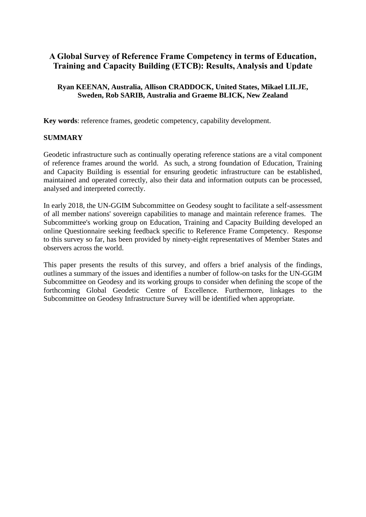# **A Global Survey of Reference Frame Competency in terms of Education, Training and Capacity Building (ETCB): Results, Analysis and Update**

#### **Ryan KEENAN, Australia, Allison CRADDOCK, United States, Mikael LILJE, Sweden, Rob SARIB, Australia and Graeme BLICK, New Zealand**

**Key words**: reference frames, geodetic competency, capability development.

#### **SUMMARY**

Geodetic infrastructure such as continually operating reference stations are a vital component of reference frames around the world. As such, a strong foundation of Education, Training and Capacity Building is essential for ensuring geodetic infrastructure can be established, maintained and operated correctly, also their data and information outputs can be processed, analysed and interpreted correctly.

In early 2018, the UN-GGIM Subcommittee on Geodesy sought to facilitate a self-assessment of all member nations' sovereign capabilities to manage and maintain reference frames. The Subcommittee's working group on Education, Training and Capacity Building developed an online Questionnaire seeking feedback specific to Reference Frame Competency. Response to this survey so far, has been provided by ninety-eight representatives of Member States and observers across the world.

This paper presents the results of this survey, and offers a brief analysis of the findings, outlines a summary of the issues and identifies a number of follow-on tasks for the UN-GGIM Subcommittee on Geodesy and its working groups to consider when defining the scope of the forthcoming Global Geodetic Centre of Excellence. Furthermore, linkages to the Subcommittee on Geodesy Infrastructure Survey will be identified when appropriate.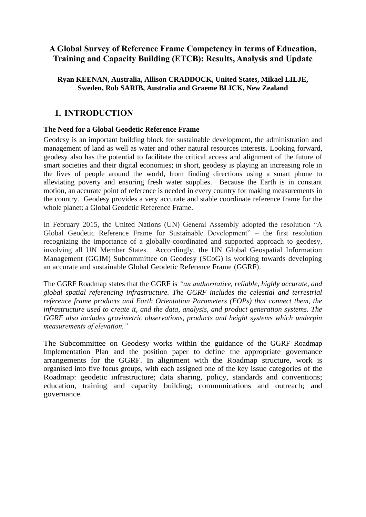# **A Global Survey of Reference Frame Competency in terms of Education, Training and Capacity Building (ETCB): Results, Analysis and Update**

#### **Ryan KEENAN, Australia, Allison CRADDOCK, United States, Mikael LILJE, Sweden, Rob SARIB, Australia and Graeme BLICK, New Zealand**

# **1. INTRODUCTION**

#### **The Need for a Global Geodetic Reference Frame**

Geodesy is an important building block for sustainable development, the administration and management of land as well as water and other natural resources interests. Looking forward, geodesy also has the potential to facilitate the critical access and alignment of the future of smart societies and their digital economies; in short, geodesy is playing an increasing role in the lives of people around the world, from finding directions using a smart phone to alleviating poverty and ensuring fresh water supplies. Because the Earth is in constant motion, an accurate point of reference is needed in every country for making measurements in the country. Geodesy provides a very accurate and stable coordinate reference frame for the whole planet: a Global Geodetic Reference Frame.

In February 2015, the United Nations (UN) General Assembly adopted the resolution "A Global Geodetic Reference Frame for Sustainable Development" – the first resolution recognizing the importance of a globally-coordinated and supported approach to geodesy, involving all UN Member States.Accordingly, the UN Global Geospatial Information Management (GGIM) Subcommittee on Geodesy (SCoG) is working towards developing an accurate and sustainable Global Geodetic Reference Frame (GGRF).

The GGRF Roadmap states that the GGRF is *"an authoritative, reliable, highly accurate, and global spatial referencing infrastructure. The GGRF includes the celestial and terrestrial reference frame products and Earth Orientation Parameters (EOPs) that connect them, the infrastructure used to create it, and the data, analysis, and product generation systems. The GGRF also includes gravimetric observations, products and height systems which underpin measurements of elevation."*

The Subcommittee on Geodesy works within the guidance of the GGRF Roadmap Implementation Plan and the position paper to define the appropriate governance arrangements for the GGRF. In alignment with the Roadmap structure, work is organised into five focus groups, with each assigned one of the key issue categories of the Roadmap: geodetic infrastructure; data sharing, policy, standards and conventions; education, training and capacity building; communications and outreach; and governance.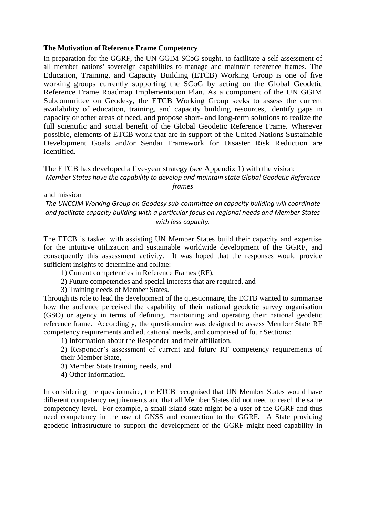#### **The Motivation of Reference Frame Competency**

In preparation for the GGRF, the UN-GGIM SCoG sought, to facilitate a self-assessment of all member nations' sovereign capabilities to manage and maintain reference frames. The Education, Training, and Capacity Building (ETCB) Working Group is one of five working groups currently supporting the SCoG by acting on the Global Geodetic Reference Frame Roadmap Implementation Plan. As a component of the UN GGIM Subcommittee on Geodesy, the ETCB Working Group seeks to assess the current availability of education, training, and capacity building resources, identify gaps in capacity or other areas of need, and propose short- and long-term solutions to realize the full scientific and social benefit of the Global Geodetic Reference Frame. Wherever possible, elements of ETCB work that are in support of the United Nations Sustainable Development Goals and/or Sendai Framework for Disaster Risk Reduction are identified.

The ETCB has developed a five-year strategy (see Appendix 1) with the vision: *Member States have the capability to develop and maintain state Global Geodetic Reference frames*

and mission

*The UNCCIM Working Group on Geodesy sub-committee on capacity building will coordinate and facilitate capacity building with a particular focus on regional needs and Member States with less capacity.* 

The ETCB is tasked with assisting UN Member States build their capacity and expertise for the intuitive utilization and sustainable worldwide development of the GGRF, and consequently this assessment activity. It was hoped that the responses would provide sufficient insights to determine and collate:

- 1) Current competencies in Reference Frames (RF),
- 2) Future competencies and special interests that are required, and

3) Training needs of Member States.

Through its role to lead the development of the questionnaire, the ECTB wanted to summarise how the audience perceived the capability of their national geodetic survey organisation (GSO) or agency in terms of defining, maintaining and operating their national geodetic reference frame. Accordingly, the questionnaire was designed to assess Member State RF competency requirements and educational needs, and comprised of four Sections:

1) Information about the Responder and their affiliation,

2) Responder's assessment of current and future RF competency requirements of their Member State,

3) Member State training needs, and

4) Other information.

In considering the questionnaire, the ETCB recognised that UN Member States would have different competency requirements and that all Member States did not need to reach the same competency level. For example, a small island state might be a user of the GGRF and thus need competency in the use of GNSS and connection to the GGRF. A State providing geodetic infrastructure to support the development of the GGRF might need capability in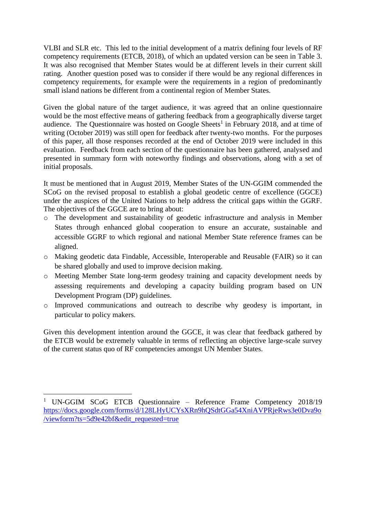VLBI and SLR etc. This led to the initial development of a matrix defining four levels of RF competency requirements (ETCB, 2018), of which an updated version can be seen in [Table 3.](#page-6-0) It was also recognised that Member States would be at different levels in their current skill rating. Another question posed was to consider if there would be any regional differences in competency requirements, for example were the requirements in a region of predominantly small island nations be different from a continental region of Member States.

Given the global nature of the target audience, it was agreed that an online questionnaire would be the most effective means of gathering feedback from a geographically diverse target audience. The Questionnaire was hosted on Google Sheets<sup>1</sup> in February 2018, and at time of writing (October 2019) was still open for feedback after twenty-two months. For the purposes of this paper, all those responses recorded at the end of October 2019 were included in this evaluation. Feedback from each section of the questionnaire has been gathered, analysed and presented in summary form with noteworthy findings and observations, along with a set of initial proposals.

It must be mentioned that in August 2019, Member States of the UN-GGIM commended the SCoG on the revised proposal to establish a global geodetic centre of excellence (GGCE) under the auspices of the United Nations to help address the critical gaps within the GGRF. The objectives of the GGCE are to bring about:

- o The development and sustainability of geodetic infrastructure and analysis in Member States through enhanced global cooperation to ensure an accurate, sustainable and accessible GGRF to which regional and national Member State reference frames can be aligned.
- o Making geodetic data Findable, Accessible, Interoperable and Reusable (FAIR) so it can be shared globally and used to improve decision making.
- o Meeting Member State long-term geodesy training and capacity development needs by assessing requirements and developing a capacity building program based on UN Development Program (DP) guidelines.
- o Improved communications and outreach to describe why geodesy is important, in particular to policy makers.

Given this development intention around the GGCE, it was clear that feedback gathered by the ETCB would be extremely valuable in terms of reflecting an objective large-scale survey of the current status quo of RF competencies amongst UN Member States.

<sup>&</sup>lt;sup>1</sup> UN-GGIM SCoG ETCB Questionnaire – Reference Frame Competency 2018/19 [https://docs.google.com/forms/d/128LHyUCYsXRn9hQSdtGGa54XniAVPRjeRws3e0Dva9o](https://docs.google.com/forms/d/128LHyUCYsXRn9hQSdtGGa54XniAVPRjeRws3e0Dva9o/viewform?ts=5d9e42bf&edit_requested=true) [/viewform?ts=5d9e42bf&edit\\_requested=true](https://docs.google.com/forms/d/128LHyUCYsXRn9hQSdtGGa54XniAVPRjeRws3e0Dva9o/viewform?ts=5d9e42bf&edit_requested=true)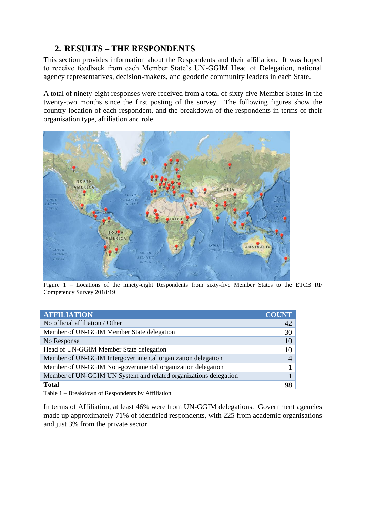# **2. RESULTS – THE RESPONDENTS**

This section provides information about the Respondents and their affiliation. It was hoped to receive feedback from each Member State's UN-GGIM Head of Delegation, national agency representatives, decision-makers, and geodetic community leaders in each State.

A total of ninety-eight responses were received from a total of sixty-five Member States in the twenty-two months since the first posting of the survey. The following figures show the country location of each respondent, and the breakdown of the respondents in terms of their organisation type, affiliation and role.



Figure 1 – Locations of the ninety-eight Respondents from sixty-five Member States to the ETCB RF Competency Survey 2018/19

| <b>AFFILIATION</b>                                               | <b>COUNT</b> |
|------------------------------------------------------------------|--------------|
| No official affiliation / Other                                  | 42           |
| Member of UN-GGIM Member State delegation                        | 30           |
| No Response                                                      | 10           |
| Head of UN-GGIM Member State delegation                          | 10           |
| Member of UN-GGIM Intergovernmental organization delegation      |              |
| Member of UN-GGIM Non-governmental organization delegation       |              |
| Member of UN-GGIM UN System and related organizations delegation |              |
| <b>Total</b>                                                     | 98           |

Table 1 – Breakdown of Respondents by Affiliation

In terms of Affiliation, at least 46% were from UN-GGIM delegations. Government agencies made up approximately 71% of identified respondents, with 225 from academic organisations and just 3% from the private sector.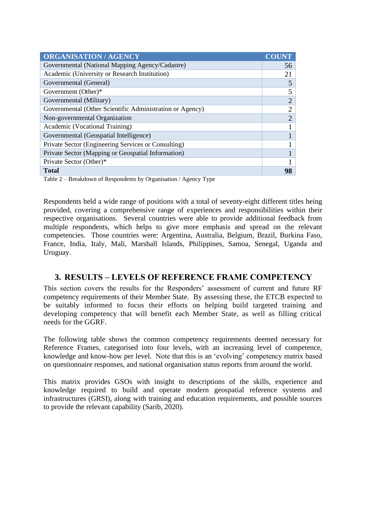| <b>ORGANISATION / AGENCY</b>                             |                             |
|----------------------------------------------------------|-----------------------------|
| Governmental (National Mapping Agency/Cadastre)          | 56                          |
| Academic (University or Research Institution)            | 21                          |
| Governmental (General)                                   | 5                           |
| Government (Other)*                                      |                             |
| Governmental (Military)                                  | 2                           |
| Governmental (Other Scientific Administration or Agency) | $\overline{2}$              |
| Non-governmental Organization                            | $\mathcal{D}_{\mathcal{L}}$ |
| Academic (Vocational Training)                           |                             |
| Governmental (Geospatial Intelligence)                   |                             |
| Private Sector (Engineering Services or Consulting)      |                             |
| Private Sector (Mapping or Geospatial Information)       |                             |
| Private Sector (Other)*                                  |                             |
| <b>Total</b>                                             | 98                          |

Table 2 – Breakdown of Respondents by Organisation / Agency Type

Respondents held a wide range of positions with a total of seventy-eight different titles being provided, covering a comprehensive range of experiences and responsibilities within their respective organisations. Several countries were able to provide additional feedback from multiple respondents, which helps to give more emphasis and spread on the relevant competencies. Those countries were: Argentina, Australia, Belgium, Brazil, Burkina Faso, France, India, Italy, Mali, Marshall Islands, Philippines, Samoa, Senegal, Uganda and Uruguay.

### **3. RESULTS – LEVELS OF REFERENCE FRAME COMPETENCY**

This section covers the results for the Responders' assessment of current and future RF competency requirements of their Member State. By assessing these, the ETCB expected to be suitably informed to focus their efforts on helping build targeted training and developing competency that will benefit each Member State, as well as filling critical needs for the GGRF.

The following table shows the common competency requirements deemed necessary for Reference Frames, categorised into four levels, with an increasing level of competence, knowledge and know-how per level. Note that this is an 'evolving' competency matrix based on questionnaire responses, and national organisation status reports from around the world.

This matrix provides GSOs with insight to descriptions of the skills, experience and knowledge required to build and operate modern geospatial reference systems and infrastructures (GRSI), along with training and education requirements, and possible sources to provide the relevant capability (Sarib, 2020).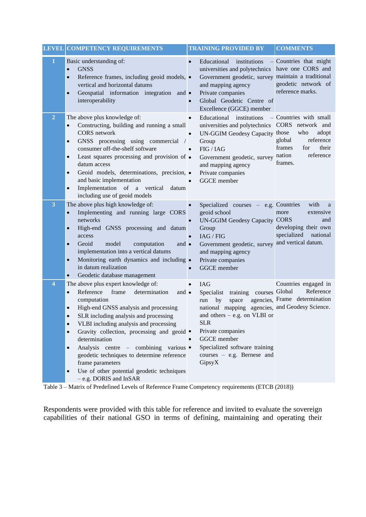|                         | <b>LEVEL COMPETENCY REQUIREMENTS</b>                                                                                                                                                                                                                                                                                                                                                                                                                                                                                                                                                | <b>TRAINING PROVIDED BY</b>                                                                                                                                                                                                                                                                         | <b>COMMENTS</b>                                                                                                 |
|-------------------------|-------------------------------------------------------------------------------------------------------------------------------------------------------------------------------------------------------------------------------------------------------------------------------------------------------------------------------------------------------------------------------------------------------------------------------------------------------------------------------------------------------------------------------------------------------------------------------------|-----------------------------------------------------------------------------------------------------------------------------------------------------------------------------------------------------------------------------------------------------------------------------------------------------|-----------------------------------------------------------------------------------------------------------------|
| 1                       | Basic understanding of:<br><b>GNSS</b><br>$\bullet$<br>Reference frames, including geoid models, •<br>$\bullet$<br>vertical and horizontal datums<br>Geospatial information integration<br>$\bullet$<br>and $\bullet$<br>interoperability                                                                                                                                                                                                                                                                                                                                           | Educational<br>institutions<br>universities and polytechnics<br>Government geodetic, survey maintain a traditional<br>and mapping agency<br>Private companies<br>Global Geodetic Centre of<br>Excellence (GGCE) member                                                                              | Countries that might<br>have one CORS and<br>geodetic network of<br>reference marks.                            |
| $\overline{2}$          | The above plus knowledge of:<br>Constructing, building and running a small<br>$\bullet$<br><b>CORS</b> network<br>GNSS processing using commercial<br>$\bullet$<br>consumer off-the-shelf software<br>Least squares processing and provision of •<br>$\bullet$<br>datum access<br>Geoid models, determinations, precision, ·<br>$\bullet$<br>and basic implementation<br>Implementation of a vertical<br>datum<br>$\bullet$<br>including use of geoid models                                                                                                                        | institutions<br>Educational<br>universities and polytechnics CORS network and<br>UN-GGIM Geodesy Capacity those<br>Group<br>FIG / IAG<br>Government geodetic, survey nation<br>and mapping agency<br>Private companies<br><b>GGCE</b> member                                                        | - Countries with small<br>adopt<br>who<br>global<br>reference<br>frames<br>their<br>for<br>reference<br>frames. |
| $\overline{\mathbf{3}}$ | The above plus high knowledge of:<br>Implementing and running large CORS<br>$\bullet$<br>networks<br>High-end GNSS processing and datum<br>$\bullet$<br>access<br>Geoid<br>model<br>computation<br>$\bullet$<br>and $\bullet$<br>implementation into a vertical datums<br>Monitoring earth dynamics and including •<br>$\bullet$<br>in datum realization<br>Geodetic database management<br>$\bullet$                                                                                                                                                                               | Specialized courses – e.g. Countries<br>geoid school<br><b>UN-GGIM Geodesy Capacity CORS</b><br>Group<br>IAG / FIG<br>Government geodetic, survey<br>and mapping agency<br>Private companies<br>GGCE member                                                                                         | with<br>a<br>extensive<br>more<br>and<br>developing their own<br>specialized<br>national<br>and vertical datum. |
| 4                       | The above plus expert knowledge of:<br>Reference<br>frame<br>determination<br>$\bullet$<br>and $\bullet$<br>computation<br>High-end GNSS analysis and processing<br>$\bullet$<br>SLR including analysis and processing<br>$\bullet$<br>VLBI including analysis and processing<br>$\bullet$<br>Gravity collection, processing and geoid •<br>$\bullet$<br>determination<br>Analysis centre – combining various •<br>$\bullet$<br>geodetic techniques to determine reference<br>frame parameters<br>Use of other potential geodetic techniques<br>$\bullet$<br>- e.g. DORIS and InSAR | <b>IAG</b><br>courses Global<br>Specialist<br>training<br>space<br>by<br>run<br>national mapping agencies, and Geodesy Science.<br>and others $-$ e.g. on VLBI or<br><b>SLR</b><br>Private companies<br><b>GGCE</b> member<br>Specialized software training<br>courses - e.g. Bernese and<br>GipsyX | Countries engaged in<br>Reference<br>agencies, Frame determination                                              |

<span id="page-6-0"></span>Table 3 – Matrix of Predefined Levels of Reference Frame Competency requirements (ETCB (2018))

Respondents were provided with this table for reference and invited to evaluate the sovereign capabilities of their national GSO in terms of defining, maintaining and operating their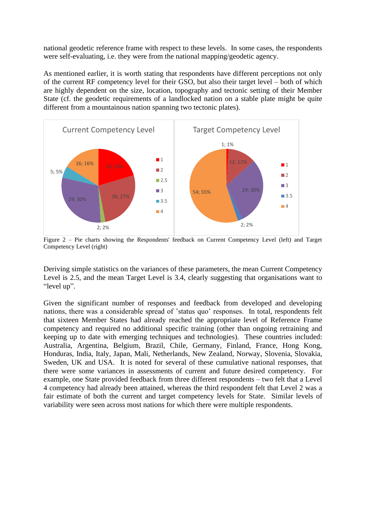national geodetic reference frame with respect to these levels. In some cases, the respondents were self-evaluating, i.e. they were from the national mapping/geodetic agency.

As mentioned earlier, it is worth stating that respondents have different perceptions not only of the current RF competency level for their GSO, but also their target level – both of which are highly dependent on the size, location, topography and tectonic setting of their Member State (cf. the geodetic requirements of a landlocked nation on a stable plate might be quite different from a mountainous nation spanning two tectonic plates).



Figure 2 – Pie charts showing the Respondents' feedback on Current Competency Level (left) and Target Competency Level (right)

Deriving simple statistics on the variances of these parameters, the mean Current Competency Level is 2.5, and the mean Target Level is 3.4, clearly suggesting that organisations want to "level up".

Given the significant number of responses and feedback from developed and developing nations, there was a considerable spread of 'status quo' responses. In total, respondents felt that sixteen Member States had already reached the appropriate level of Reference Frame competency and required no additional specific training (other than ongoing retraining and keeping up to date with emerging techniques and technologies). These countries included: Australia, Argentina, Belgium, Brazil, Chile, Germany, Finland, France, Hong Kong, Honduras, India, Italy, Japan, Mali, Netherlands, New Zealand, Norway, Slovenia, Slovakia, Sweden, UK and USA. It is noted for several of these cumulative national responses, that there were some variances in assessments of current and future desired competency. For example, one State provided feedback from three different respondents – two felt that a Level 4 competency had already been attained, whereas the third respondent felt that Level 2 was a fair estimate of both the current and target competency levels for State. Similar levels of variability were seen across most nations for which there were multiple respondents.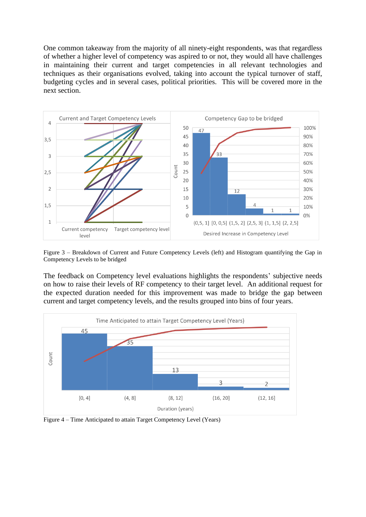One common takeaway from the majority of all ninety-eight respondents, was that regardless of whether a higher level of competency was aspired to or not, they would all have challenges in maintaining their current and target competencies in all relevant technologies and techniques as their organisations evolved, taking into account the typical turnover of staff, budgeting cycles and in several cases, political priorities. This will be covered more in the next section.



Figure 3 – Breakdown of Current and Future Competency Levels (left) and Histogram quantifying the Gap in Competency Levels to be bridged

The feedback on Competency level evaluations highlights the respondents' subjective needs on how to raise their levels of RF competency to their target level. An additional request for the expected duration needed for this improvement was made to bridge the gap between current and target competency levels, and the results grouped into bins of four years.



Figure 4 – Time Anticipated to attain Target Competency Level (Years)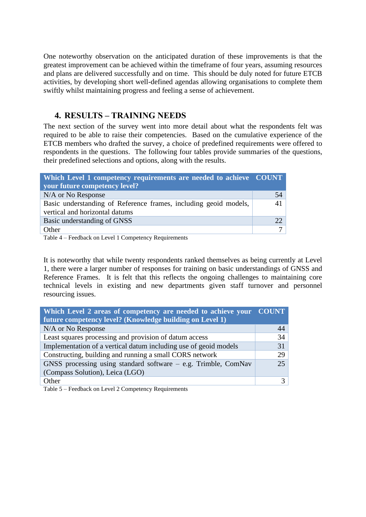One noteworthy observation on the anticipated duration of these improvements is that the greatest improvement can be achieved within the timeframe of four years, assuming resources and plans are delivered successfully and on time. This should be duly noted for future ETCB activities, by developing short well-defined agendas allowing organisations to complete them swiftly whilst maintaining progress and feeling a sense of achievement.

## **4. RESULTS – TRAINING NEEDS**

The next section of the survey went into more detail about what the respondents felt was required to be able to raise their competencies. Based on the cumulative experience of the ETCB members who drafted the survey, a choice of predefined requirements were offered to respondents in the questions. The following four tables provide summaries of the questions, their predefined selections and options, along with the results.

| Which Level 1 competency requirements are needed to achieve COUNT |                 |
|-------------------------------------------------------------------|-----------------|
| your future competency level?                                     |                 |
| N/A or No Response                                                | 54              |
| Basic understanding of Reference frames, including geoid models,  | 41              |
| vertical and horizontal datums                                    |                 |
| Basic understanding of GNSS                                       | 22 <sub>1</sub> |
| Other                                                             |                 |

Table 4 – Feedback on Level 1 Competency Requirements

It is noteworthy that while twenty respondents ranked themselves as being currently at Level 1, there were a larger number of responses for training on basic understandings of GNSS and Reference Frames. It is felt that this reflects the ongoing challenges to maintaining core technical levels in existing and new departments given staff turnover and personnel resourcing issues.

| Which Level 2 areas of competency are needed to achieve your COUNT |    |
|--------------------------------------------------------------------|----|
| future competency level? (Knowledge building on Level 1)           |    |
| N/A or No Response                                                 | 44 |
| Least squares processing and provision of datum access             | 34 |
| Implementation of a vertical datum including use of geoid models   | 31 |
| Constructing, building and running a small CORS network            | 29 |
| GNSS processing using standard software - e.g. Trimble, ComNav     | 25 |
| (Compass Solution), Leica (LGO)                                    |    |
| Other                                                              |    |

Table 5 – Feedback on Level 2 Competency Requirements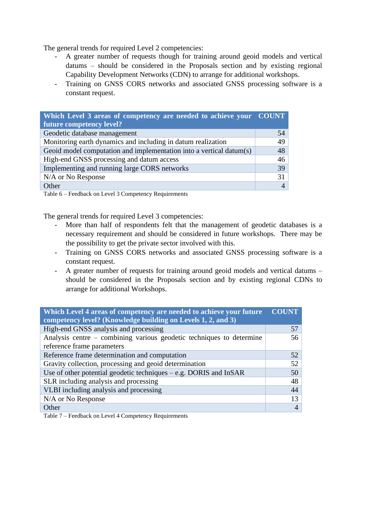The general trends for required Level 2 competencies:

- A greater number of requests though for training around geoid models and vertical datums – should be considered in the Proposals section and by existing regional Capability Development Networks (CDN) to arrange for additional workshops.
- Training on GNSS CORS networks and associated GNSS processing software is a constant request.

| Which Level 3 areas of competency are needed to achieve your COUNT  |    |
|---------------------------------------------------------------------|----|
| future competency level?                                            |    |
| Geodetic database management                                        | 54 |
| Monitoring earth dynamics and including in datum realization        | 49 |
| Geoid model computation and implementation into a vertical datum(s) | 48 |
| High-end GNSS processing and datum access                           | 46 |
| Implementing and running large CORS networks                        | 39 |
| N/A or No Response                                                  | 31 |
| Other                                                               |    |

Table 6 – Feedback on Level 3 Competency Requirements

The general trends for required Level 3 competencies:

- More than half of respondents felt that the management of geodetic databases is a necessary requirement and should be considered in future workshops. There may be the possibility to get the private sector involved with this.
- Training on GNSS CORS networks and associated GNSS processing software is a constant request.
- A greater number of requests for training around geoid models and vertical datums should be considered in the Proposals section and by existing regional CDNs to arrange for additional Workshops.

| Which Level 4 areas of competency are needed to achieve your future  |    |
|----------------------------------------------------------------------|----|
| competency level? (Knowledge building on Levels 1, 2, and 3)         |    |
| High-end GNSS analysis and processing                                | 57 |
| Analysis centre – combining various geodetic techniques to determine | 56 |
| reference frame parameters                                           |    |
| Reference frame determination and computation                        | 52 |
| Gravity collection, processing and geoid determination               | 52 |
| Use of other potential geodetic techniques $-e.g.$ DORIS and InSAR   | 50 |
| SLR including analysis and processing                                | 48 |
| VLBI including analysis and processing                               | 44 |
| N/A or No Response                                                   | 13 |
| Other                                                                |    |

Table 7 – Feedback on Level 4 Competency Requirements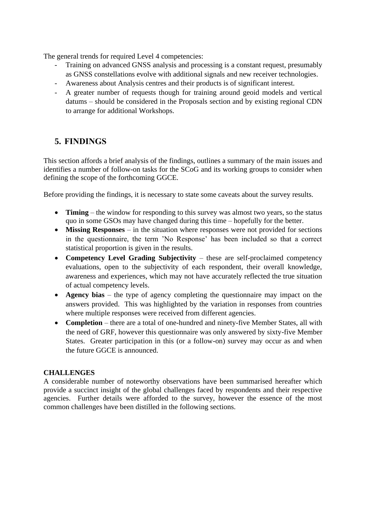The general trends for required Level 4 competencies:

- Training on advanced GNSS analysis and processing is a constant request, presumably as GNSS constellations evolve with additional signals and new receiver technologies.
- Awareness about Analysis centres and their products is of significant interest.
- A greater number of requests though for training around geoid models and vertical datums – should be considered in the Proposals section and by existing regional CDN to arrange for additional Workshops.

# **5. FINDINGS**

This section affords a brief analysis of the findings, outlines a summary of the main issues and identifies a number of follow-on tasks for the SCoG and its working groups to consider when defining the scope of the forthcoming GGCE.

Before providing the findings, it is necessary to state some caveats about the survey results.

- **Timing** the window for responding to this survey was almost two years, so the status quo in some GSOs may have changed during this time – hopefully for the better.
- **Missing Responses** in the situation where responses were not provided for sections in the questionnaire, the term 'No Response' has been included so that a correct statistical proportion is given in the results.
- **Competency Level Grading Subjectivity** these are self-proclaimed competency evaluations, open to the subjectivity of each respondent, their overall knowledge, awareness and experiences, which may not have accurately reflected the true situation of actual competency levels.
- **Agency bias** the type of agency completing the questionnaire may impact on the answers provided. This was highlighted by the variation in responses from countries where multiple responses were received from different agencies.
- **Completion** there are a total of one-hundred and ninety-five Member States, all with the need of GRF, however this questionnaire was only answered by sixty-five Member States. Greater participation in this (or a follow-on) survey may occur as and when the future GGCE is announced.

### **CHALLENGES**

A considerable number of noteworthy observations have been summarised hereafter which provide a succinct insight of the global challenges faced by respondents and their respective agencies. Further details were afforded to the survey, however the essence of the most common challenges have been distilled in the following sections.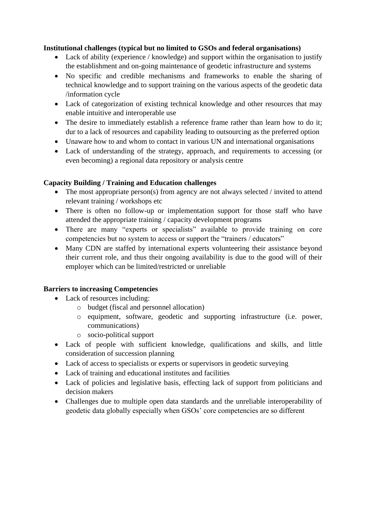#### **Institutional challenges (typical but no limited to GSOs and federal organisations)**

- Lack of ability (experience / knowledge) and support within the organisation to justify the establishment and on-going maintenance of geodetic infrastructure and systems
- No specific and credible mechanisms and frameworks to enable the sharing of technical knowledge and to support training on the various aspects of the geodetic data /information cycle
- Lack of categorization of existing technical knowledge and other resources that may enable intuitive and interoperable use
- The desire to immediately establish a reference frame rather than learn how to do it; dur to a lack of resources and capability leading to outsourcing as the preferred option
- Unaware how to and whom to contact in various UN and international organisations
- Lack of understanding of the strategy, approach, and requirements to accessing (or even becoming) a regional data repository or analysis centre

#### **Capacity Building / Training and Education challenges**

- The most appropriate person(s) from agency are not always selected / invited to attend relevant training / workshops etc
- There is often no follow-up or implementation support for those staff who have attended the appropriate training / capacity development programs
- There are many "experts or specialists" available to provide training on core competencies but no system to access or support the "trainers / educators"
- Many CDN are staffed by international experts volunteering their assistance beyond their current role, and thus their ongoing availability is due to the good will of their employer which can be limited/restricted or unreliable

#### **Barriers to increasing Competencies**

- Lack of resources including:
	- o budget (fiscal and personnel allocation)
	- o equipment, software, geodetic and supporting infrastructure (i.e. power, communications)
	- o socio-political support
- Lack of people with sufficient knowledge, qualifications and skills, and little consideration of succession planning
- Lack of access to specialists or experts or supervisors in geodetic surveying
- Lack of training and educational institutes and facilities
- Lack of policies and legislative basis, effecting lack of support from politicians and decision makers
- Challenges due to multiple open data standards and the unreliable interoperability of geodetic data globally especially when GSOs' core competencies are so different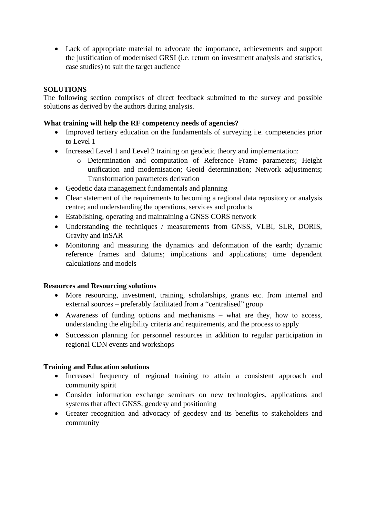• Lack of appropriate material to advocate the importance, achievements and support the justification of modernised GRSI (i.e. return on investment analysis and statistics, case studies) to suit the target audience

#### **SOLUTIONS**

The following section comprises of direct feedback submitted to the survey and possible solutions as derived by the authors during analysis.

#### **What training will help the RF competency needs of agencies?**

- Improved tertiary education on the fundamentals of surveying i.e. competencies prior to Level 1
- Increased Level 1 and Level 2 training on geodetic theory and implementation:
	- o Determination and computation of Reference Frame parameters; Height unification and modernisation; Geoid determination; Network adjustments; Transformation parameters derivation
- Geodetic data management fundamentals and planning
- Clear statement of the requirements to becoming a regional data repository or analysis centre; and understanding the operations, services and products
- Establishing, operating and maintaining a GNSS CORS network
- Understanding the techniques / measurements from GNSS, VLBI, SLR, DORIS, Gravity and InSAR
- Monitoring and measuring the dynamics and deformation of the earth; dynamic reference frames and datums; implications and applications; time dependent calculations and models

#### **Resources and Resourcing solutions**

- More resourcing, investment, training, scholarships, grants etc. from internal and external sources – preferably facilitated from a "centralised" group
- Awareness of funding options and mechanisms what are they, how to access, understanding the eligibility criteria and requirements, and the process to apply
- Succession planning for personnel resources in addition to regular participation in regional CDN events and workshops

#### **Training and Education solutions**

- Increased frequency of regional training to attain a consistent approach and community spirit
- Consider information exchange seminars on new technologies, applications and systems that affect GNSS, geodesy and positioning
- Greater recognition and advocacy of geodesy and its benefits to stakeholders and community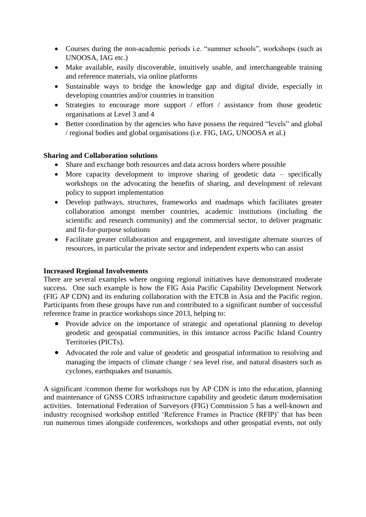- Courses during the non-academic periods i.e. "summer schools", workshops (such as UNOOSA, IAG etc.)
- Make available, easily discoverable, intuitively usable, and interchangeable training and reference materials, via online platforms
- Sustainable ways to bridge the knowledge gap and digital divide, especially in developing countries and/or countries in transition
- Strategies to encourage more support / effort / assistance from those geodetic organisations at Level 3 and 4
- Better coordination by the agencies who have possess the required "levels" and global / regional bodies and global organisations (i.e. FIG, IAG, UNOOSA et al.)

#### **Sharing and Collaboration solutions**

- Share and exchange both resources and data across borders where possible
- More capacity development to improve sharing of geodetic data specifically workshops on the advocating the benefits of sharing, and development of relevant policy to support implementation
- Develop pathways, structures, frameworks and roadmaps which facilitates greater collaboration amongst member countries, academic institutions (including the scientific and research community) and the commercial sector, to deliver pragmatic and fit-for-purpose solutions
- Facilitate greater collaboration and engagement, and investigate alternate sources of resources, in particular the private sector and independent experts who can assist

#### **Increased Regional Involvements**

There are several examples where ongoing regional initiatives have demonstrated moderate success. One such example is how the FIG Asia Pacific Capability Development Network (FIG AP CDN) and its enduring collaboration with the ETCB in Asia and the Pacific region. Participants from these groups have run and contributed to a significant number of successful reference frame in practice workshops since 2013, helping to:

- Provide advice on the importance of strategic and operational planning to develop geodetic and geospatial communities, in this instance across Pacific Island Country Territories (PICTs).
- Advocated the role and value of geodetic and geospatial information to resolving and managing the impacts of climate change / sea level rise, and natural disasters such as cyclones, earthquakes and tsunamis.

A significant /common theme for workshops run by AP CDN is into the education, planning and maintenance of GNSS CORS infrastructure capability and geodetic datum modernisation activities. International Federation of Surveyors (FIG) Commission 5 has a well-known and industry recognised workshop entitled 'Reference Frames in Practice (RFIP)' that has been run numerous times alongside conferences, workshops and other geospatial events, not only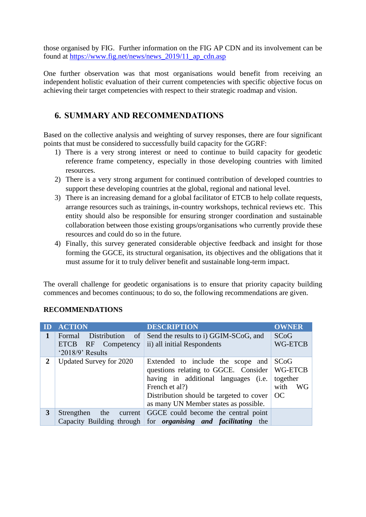those organised by FIG. Further information on the FIG AP CDN and its involvement can be found at [https://www.fig.net/news/news\\_2019/11\\_ap\\_cdn.asp](https://www.fig.net/news/news_2019/11_ap_cdn.asp)

One further observation was that most organisations would benefit from receiving an independent holistic evaluation of their current competencies with specific objective focus on achieving their target competencies with respect to their strategic roadmap and vision.

# **6. SUMMARY AND RECOMMENDATIONS**

Based on the collective analysis and weighting of survey responses, there are four significant points that must be considered to successfully build capacity for the GGRF:

- 1) There is a very strong interest or need to continue to build capacity for geodetic reference frame competency, especially in those developing countries with limited resources.
- 2) There is a very strong argument for continued contribution of developed countries to support these developing countries at the global, regional and national level.
- 3) There is an increasing demand for a global facilitator of ETCB to help collate requests, arrange resources such as trainings, in-country workshops, technical reviews etc. This entity should also be responsible for ensuring stronger coordination and sustainable collaboration between those existing groups/organisations who currently provide these resources and could do so in the future.
- 4) Finally, this survey generated considerable objective feedback and insight for those forming the GGCE, its structural organisation, its objectives and the obligations that it must assume for it to truly deliver benefit and sustainable long-term impact.

The overall challenge for geodetic organisations is to ensure that priority capacity building commences and becomes continuous; to do so, the following recommendations are given.

| ID             | <b>ACTION</b>                                                                                | <b>DESCRIPTION</b>                                                                                                                                                                                                       | <b>OWNER</b>                                     |
|----------------|----------------------------------------------------------------------------------------------|--------------------------------------------------------------------------------------------------------------------------------------------------------------------------------------------------------------------------|--------------------------------------------------|
|                | Distribution<br>$\circ$ of<br>Formal<br><b>ETCB</b><br>RF Competency<br>' $2018/9$ ' Results | Send the results to i) GGIM-SCoG, and<br>ii) all initial Respondents                                                                                                                                                     | <b>SCoG</b><br><b>WG-ETCB</b>                    |
| $\overline{2}$ | Updated Survey for 2020                                                                      | Extended to include the scope and<br>questions relating to GGCE. Consider<br>having in additional languages (i.e.<br>French et al?)<br>Distribution should be targeted to cover<br>as many UN Member states as possible. | SCoG<br>WG-ETCB<br>together<br>with<br>WG<br>OC. |
| 3              | Strengthen<br>the<br>current                                                                 | GGCE could become the central point<br>Capacity Building through for <i>organising and facilitating</i> the                                                                                                              |                                                  |

#### **RECOMMENDATIONS**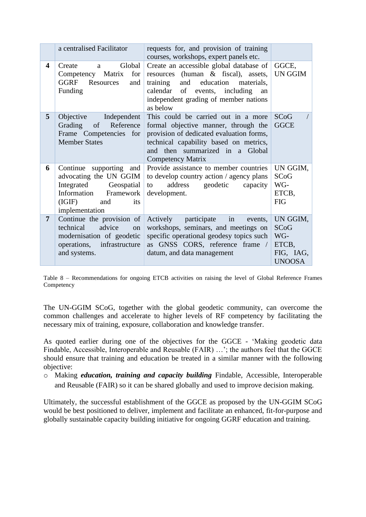|                | a centralised Facilitator                                                                                                                             | requests for, and provision of training<br>courses, workshops, expert panels etc.                                                                                                                                                |                                                                |
|----------------|-------------------------------------------------------------------------------------------------------------------------------------------------------|----------------------------------------------------------------------------------------------------------------------------------------------------------------------------------------------------------------------------------|----------------------------------------------------------------|
| 4              | Global<br>Create<br>a<br>for<br>Competency Matrix<br><b>GGRF</b><br>Resources<br>and<br>Funding                                                       | Create an accessible global database of<br>resources (human & fiscal), assets,<br>and education materials,<br>training<br>events, including<br>calendar<br>of<br>an<br>independent grading of member nations<br>as below         | GGCE,<br>UN GGIM                                               |
| 5              | Objective<br>Independent<br>Reference<br>Grading of<br>Frame Competencies for<br><b>Member States</b>                                                 | This could be carried out in a more<br>formal objective manner, through the<br>provision of dedicated evaluation forms,<br>technical capability based on metrics,<br>and then summarized in a Global<br><b>Competency Matrix</b> | <b>SCoG</b><br><b>GGCE</b>                                     |
| 6              | Continue supporting and $\vert$<br>advocating the UN GGIM<br>Integrated Geospatial<br>Information Framework<br>(IGIF)<br>and<br>its<br>implementation | Provide assistance to member countries<br>to develop country action / agency plans<br>geodetic<br>address<br>capacity<br>to<br>development.                                                                                      | UN GGIM,<br>SCoG<br>WG-<br>ETCB,<br><b>FIG</b>                 |
| $\overline{7}$ | Continue the provision of<br>advice<br>technical<br>on<br>modernisation of geodetic<br>operations,<br>infrastructure<br>and systems.                  | Actively participate<br>in<br>events,<br>workshops, seminars, and meetings on<br>specific operational geodesy topics such<br>as GNSS CORS, reference frame /<br>datum, and data management                                       | UN GGIM,<br>SCoG<br>WG-<br>ETCB,<br>FIG, IAG,<br><b>UNOOSA</b> |

Table 8 – Recommendations for ongoing ETCB activities on raising the level of Global Reference Frames Competency

The UN-GGIM SCoG, together with the global geodetic community, can overcome the common challenges and accelerate to higher levels of RF competency by facilitating the necessary mix of training, exposure, collaboration and knowledge transfer.

As quoted earlier during one of the objectives for the GGCE - 'Making geodetic data Findable, Accessible, Interoperable and Reusable (FAIR) …'; the authors feel that the GGCE should ensure that training and education be treated in a similar manner with the following objective:

o Making *education, training and capacity building* Findable, Accessible, Interoperable and Reusable (FAIR) so it can be shared globally and used to improve decision making.

Ultimately, the successful establishment of the GGCE as proposed by the UN-GGIM SCoG would be best positioned to deliver, implement and facilitate an enhanced, fit-for-purpose and globally sustainable capacity building initiative for ongoing GGRF education and training.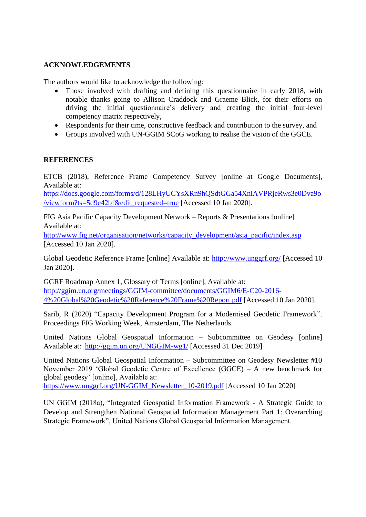#### **ACKNOWLEDGEMENTS**

The authors would like to acknowledge the following:

- Those involved with drafting and defining this questionnaire in early 2018, with notable thanks going to Allison Craddock and Graeme Blick, for their efforts on driving the initial questionnaire's delivery and creating the initial four-level competency matrix respectively,
- Respondents for their time, constructive feedback and contribution to the survey, and
- Groups involved with UN-GGIM SCoG working to realise the vision of the GGCE.

#### **REFERENCES**

ETCB (2018), Reference Frame Competency Survey [online at Google Documents], Available at:

[https://docs.google.com/forms/d/128LHyUCYsXRn9hQSdtGGa54XniAVPRjeRws3e0Dva9o](https://docs.google.com/forms/d/128LHyUCYsXRn9hQSdtGGa54XniAVPRjeRws3e0Dva9o/viewform?ts=5d9e42bf&edit_requested=true) [/viewform?ts=5d9e42bf&edit\\_requested=true](https://docs.google.com/forms/d/128LHyUCYsXRn9hQSdtGGa54XniAVPRjeRws3e0Dva9o/viewform?ts=5d9e42bf&edit_requested=true) [Accessed 10 Jan 2020].

FIG Asia Pacific Capacity Development Network – Reports & Presentations [online] Available at:

[http://www.fig.net/organisation/networks/capacity\\_development/asia\\_pacific/index.asp](http://www.fig.net/organisation/networks/capacity_development/asia_pacific/index.asp) [Accessed 10 Jan 2020].

Global Geodetic Reference Frame [online] Available at:<http://www.unggrf.org/> [Accessed 10 Jan 2020].

GGRF Roadmap Annex 1, Glossary of Terms [online], Available at: [http://ggim.un.org/meetings/GGIM-committee/documents/GGIM6/E-C20-2016-](http://ggim.un.org/meetings/GGIM-committee/documents/GGIM6/E-C20-2016-4%20Global%20Geodetic%20Reference%20Frame%20Report.pdf) [4%20Global%20Geodetic%20Reference%20Frame%20Report.pdf](http://ggim.un.org/meetings/GGIM-committee/documents/GGIM6/E-C20-2016-4%20Global%20Geodetic%20Reference%20Frame%20Report.pdf) [Accessed 10 Jan 2020].

Sarib, R (2020) "Capacity Development Program for a Modernised Geodetic Framework". Proceedings FIG Working Week, Amsterdam, The Netherlands.

United Nations Global Geospatial Information – Subcommittee on Geodesy [online] Available at: <http://ggim.un.org/UNGGIM-wg1/> [Accessed 31 Dec 2019]

United Nations Global Geospatial Information – Subcommittee on Geodesy Newsletter #10 November 2019 'Global Geodetic Centre of Excellence (GGCE) – A new benchmark for global geodesy' [online], Available at:

[https://www.unggrf.org/UN-GGIM\\_Newsletter\\_10-2019.pdf](https://www.unggrf.org/UN-GGIM_Newsletter_10-2019.pdf) [Accessed 10 Jan 2020]

UN GGIM (2018a), "Integrated Geospatial Information Framework - A Strategic Guide to Develop and Strengthen National Geospatial Information Management Part 1: Overarching Strategic Framework", United Nations Global Geospatial Information Management.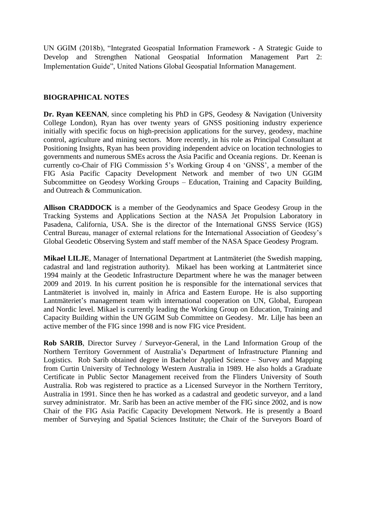UN GGIM (2018b), "Integrated Geospatial Information Framework - A Strategic Guide to Develop and Strengthen National Geospatial Information Management Part 2: Implementation Guide", United Nations Global Geospatial Information Management.

#### **BIOGRAPHICAL NOTES**

**Dr. Ryan KEENAN**, since completing his PhD in GPS, Geodesy & Navigation (University College London), Ryan has over twenty years of GNSS positioning industry experience initially with specific focus on high-precision applications for the survey, geodesy, machine control, agriculture and mining sectors. More recently, in his role as Principal Consultant at Positioning Insights, Ryan has been providing independent advice on location technologies to governments and numerous SMEs across the Asia Pacific and Oceania regions. Dr. Keenan is currently co-Chair of FIG Commission 5's Working Group 4 on 'GNSS', a member of the FIG Asia Pacific Capacity Development Network and member of two UN GGIM Subcommittee on Geodesy Working Groups – Education, Training and Capacity Building, and Outreach & Communication.

**Allison CRADDOCK** is a member of the Geodynamics and Space Geodesy Group in the Tracking Systems and Applications Section at the NASA Jet Propulsion Laboratory in Pasadena, California, USA. She is the director of the International GNSS Service (IGS) Central Bureau, manager of external relations for the International Association of Geodesy's Global Geodetic Observing System and staff member of the NASA Space Geodesy Program.

**Mikael LILJE**, Manager of International Department at Lantmäteriet (the Swedish mapping, cadastral and land registration authority). Mikael has been working at Lantmäteriet since 1994 mainly at the Geodetic Infrastructure Department where he was the manager between 2009 and 2019. In his current position he is responsible for the international services that Lantmäteriet is involved in, mainly in Africa and Eastern Europe. He is also supporting Lantmäteriet's management team with international cooperation on UN, Global, European and Nordic level. Mikael is currently leading the Working Group on Education, Training and Capacity Building within the UN GGIM Sub Committee on Geodesy. Mr. Lilje has been an active member of the FIG since 1998 and is now FIG vice President.

**Rob SARIB**, Director Survey / Surveyor-General, in the Land Information Group of the Northern Territory Government of Australia's Department of Infrastructure Planning and Logistics. Rob Sarib obtained degree in Bachelor Applied Science – Survey and Mapping from Curtin University of Technology Western Australia in 1989. He also holds a Graduate Certificate in Public Sector Management received from the Flinders University of South Australia. Rob was registered to practice as a Licensed Surveyor in the Northern Territory, Australia in 1991. Since then he has worked as a cadastral and geodetic surveyor, and a land survey administrator. Mr. Sarib has been an active member of the FIG since 2002, and is now Chair of the FIG Asia Pacific Capacity Development Network. He is presently a Board member of Surveying and Spatial Sciences Institute; the Chair of the Surveyors Board of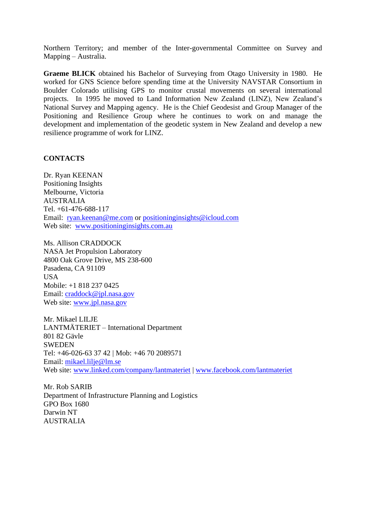Northern Territory; and member of the Inter-governmental Committee on Survey and Mapping – Australia.

**Graeme BLICK** obtained his Bachelor of Surveying from Otago University in 1980. He worked for GNS Science before spending time at the University NAVSTAR Consortium in Boulder Colorado utilising GPS to monitor crustal movements on several international projects. In 1995 he moved to Land Information New Zealand (LINZ), New Zealand's National Survey and Mapping agency. He is the Chief Geodesist and Group Manager of the Positioning and Resilience Group where he continues to work on and manage the development and implementation of the geodetic system in New Zealand and develop a new resilience programme of work for LINZ.

#### **CONTACTS**

Dr. Ryan KEENAN Positioning Insights Melbourne, Victoria AUSTRALIA Tel. +61-476-688-117 Email: [ryan.keenan@me.com](mailto:ryan.keenan@me.com) or [positioninginsights@icloud.com](mailto:positioninginsights@icloud.com) Web site: [www.positioninginsights.com.au](http://www.positioninginsights.com.au/)

Ms. Allison CRADDOCK NASA Jet Propulsion Laboratory 4800 Oak Grove Drive, MS 238-600 Pasadena, CA 91109 USA Mobile: +1 818 237 0425 Email: [craddock@jpl.nasa.gov](mailto:craddock@jpl.nasa.gov) Web site: [www.jpl.nasa.gov](http://www.jpl.nasa.gov/)

Mr. Mikael LILJE LANTMÄTERIET – International Department 801 82 Gävle SWEDEN Tel: +46-026-63 37 42 | Mob: +46 70 2089571 Email: [mikael.lilje@lm.se](mailto:mikael.lilje@lm.se) Web site: [www.linked.com/company/lantmateriet](http://www.linked.com/company/lantmateriet) | [www.facebook.com/lantmateriet](http://www.facebook.com/lantmateriet)

Mr. Rob SARIB Department of Infrastructure Planning and Logistics GPO Box 1680 Darwin NT AUSTRALIA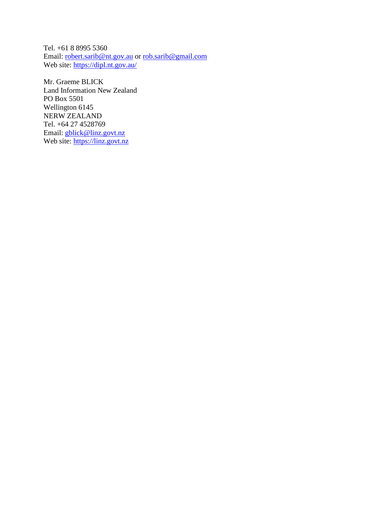Tel. +61 8 8995 5360 Email: [robert.sarib@nt.gov.au](mailto:robert.sarib@nt.gov.au) or [rob.sarib@gmail.com](mailto:rob.sarib@gmail.com)  Web site:<https://dipl.nt.gov.au/>

Mr. Graeme BLICK Land Information New Zealand PO Box 5501 Wellington 6145 NERW ZEALAND Tel. +64 27 4528769 Email: [gblick@linz.govt.nz](mailto:gblick@linz.govt.nz) Web site: [https://linz.govt.nz](https://linz.govt.nz/)